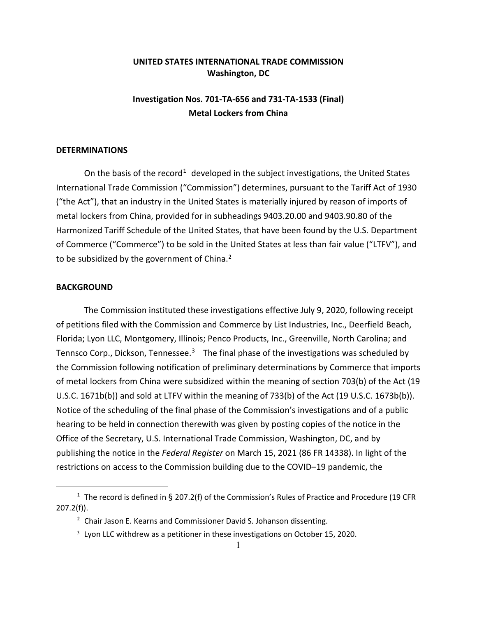## **UNITED STATES INTERNATIONAL TRADE COMMISSION Washington, DC**

## **Investigation Nos. 701-TA-656 and 731-TA-1533 (Final) Metal Lockers from China**

## **DETERMINATIONS**

On the basis of the record<sup>[1](#page-0-0)</sup> developed in the subject investigations, the United States International Trade Commission ("Commission") determines, pursuant to the Tariff Act of 1930 ("the Act"), that an industry in the United States is materially injured by reason of imports of metal lockers from China, provided for in subheadings 9403.20.00 and 9403.90.80 of the Harmonized Tariff Schedule of the United States, that have been found by the U.S. Department of Commerce ("Commerce") to be sold in the United States at less than fair value ("LTFV"), and to be subsidized by the government of China.<sup>[2](#page-0-1)</sup>

## **BACKGROUND**

The Commission instituted these investigations effective July 9, 2020, following receipt of petitions filed with the Commission and Commerce by List Industries, Inc., Deerfield Beach, Florida; Lyon LLC, Montgomery, Illinois; Penco Products, Inc., Greenville, North Carolina; and Tennsco Corp., Dickson, Tennessee.<sup>[3](#page-0-2)</sup> The final phase of the investigations was scheduled by the Commission following notification of preliminary determinations by Commerce that imports of metal lockers from China were subsidized within the meaning of section 703(b) of the Act (19 U.S.C. 1671b(b)) and sold at LTFV within the meaning of 733(b) of the Act (19 U.S.C. 1673b(b)). Notice of the scheduling of the final phase of the Commission's investigations and of a public hearing to be held in connection therewith was given by posting copies of the notice in the Office of the Secretary, U.S. International Trade Commission, Washington, DC, and by publishing the notice in the *Federal Register* on March 15, 2021 (86 FR 14338). In light of the restrictions on access to the Commission building due to the COVID–19 pandemic, the

<span id="page-0-2"></span><span id="page-0-1"></span><span id="page-0-0"></span><sup>&</sup>lt;sup>1</sup> The record is defined in § 207.2(f) of the Commission's Rules of Practice and Procedure (19 CFR 207.2(f)).

 $2$  Chair Jason E. Kearns and Commissioner David S. Johanson dissenting.

<sup>&</sup>lt;sup>3</sup> Lyon LLC withdrew as a petitioner in these investigations on October 15, 2020.